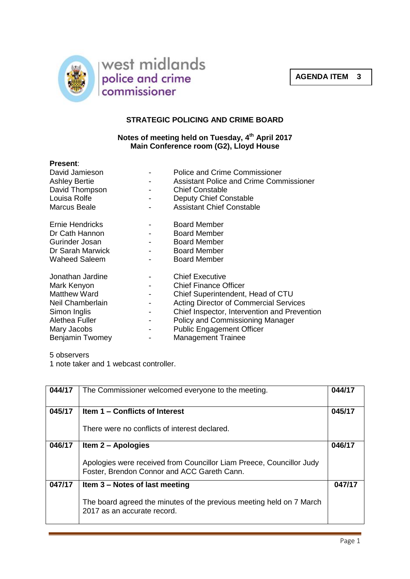



## **STRATEGIC POLICING AND CRIME BOARD**

## **Notes of meeting held on Tuesday, 4 th April 2017 Main Conference room (G2), Lloyd House**

| <b>Present:</b>      |   |                                                |
|----------------------|---|------------------------------------------------|
| David Jamieson       |   | Police and Crime Commissioner                  |
| <b>Ashley Bertie</b> |   | <b>Assistant Police and Crime Commissioner</b> |
| David Thompson       |   | <b>Chief Constable</b>                         |
| Louisa Rolfe         |   | Deputy Chief Constable                         |
| Marcus Beale         |   | <b>Assistant Chief Constable</b>               |
| Ernie Hendricks      |   | <b>Board Member</b>                            |
| Dr Cath Hannon       |   | <b>Board Member</b>                            |
| Gurinder Josan       |   | <b>Board Member</b>                            |
| Dr Sarah Marwick     |   | <b>Board Member</b>                            |
| Waheed Saleem        |   | <b>Board Member</b>                            |
| Jonathan Jardine     |   | <b>Chief Executive</b>                         |
| Mark Kenyon          |   | <b>Chief Finance Officer</b>                   |
| <b>Matthew Ward</b>  |   | Chief Superintendent, Head of CTU              |
| Neil Chamberlain     |   | <b>Acting Director of Commercial Services</b>  |
| Simon Inglis         | - | Chief Inspector, Intervention and Prevention   |
| Alethea Fuller       | ۰ | Policy and Commissioning Manager               |
| Mary Jacobs          |   | <b>Public Engagement Officer</b>               |
| Benjamin Twomey      |   | <b>Management Trainee</b>                      |

## 5 observers

1 note taker and 1 webcast controller.

| 044/17 | The Commissioner welcomed everyone to the meeting.                                                                  | 044/17 |
|--------|---------------------------------------------------------------------------------------------------------------------|--------|
| 045/17 | Item 1 – Conflicts of Interest                                                                                      | 045/17 |
|        | There were no conflicts of interest declared.                                                                       |        |
| 046/17 | Item 2 – Apologies                                                                                                  | 046/17 |
|        | Apologies were received from Councillor Liam Preece, Councillor Judy<br>Foster, Brendon Connor and ACC Gareth Cann. |        |
| 047/17 | Item 3 - Notes of last meeting                                                                                      | 047/17 |
|        | The board agreed the minutes of the previous meeting held on 7 March<br>2017 as an accurate record.                 |        |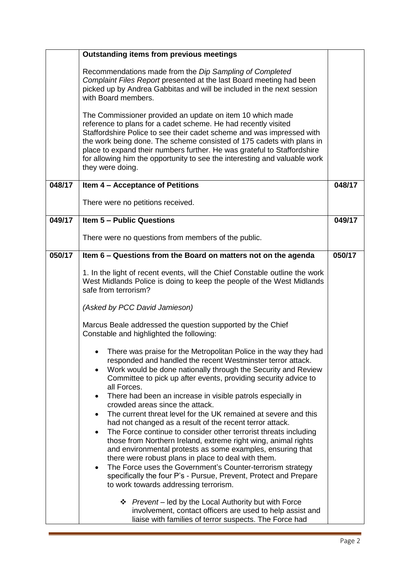|        | <b>Outstanding items from previous meetings</b>                                                                                                                                                                                                                                                                                                                                                                                                                      |        |
|--------|----------------------------------------------------------------------------------------------------------------------------------------------------------------------------------------------------------------------------------------------------------------------------------------------------------------------------------------------------------------------------------------------------------------------------------------------------------------------|--------|
|        | Recommendations made from the Dip Sampling of Completed<br>Complaint Files Report presented at the last Board meeting had been<br>picked up by Andrea Gabbitas and will be included in the next session<br>with Board members.                                                                                                                                                                                                                                       |        |
|        | The Commissioner provided an update on item 10 which made<br>reference to plans for a cadet scheme. He had recently visited<br>Staffordshire Police to see their cadet scheme and was impressed with<br>the work being done. The scheme consisted of 175 cadets with plans in<br>place to expand their numbers further. He was grateful to Staffordshire<br>for allowing him the opportunity to see the interesting and valuable work<br>they were doing.            |        |
| 048/17 | Item 4 - Acceptance of Petitions                                                                                                                                                                                                                                                                                                                                                                                                                                     | 048/17 |
|        | There were no petitions received.                                                                                                                                                                                                                                                                                                                                                                                                                                    |        |
| 049/17 | <b>Item 5 - Public Questions</b>                                                                                                                                                                                                                                                                                                                                                                                                                                     | 049/17 |
|        | There were no questions from members of the public.                                                                                                                                                                                                                                                                                                                                                                                                                  |        |
| 050/17 | Item 6 - Questions from the Board on matters not on the agenda                                                                                                                                                                                                                                                                                                                                                                                                       | 050/17 |
|        | 1. In the light of recent events, will the Chief Constable outline the work<br>West Midlands Police is doing to keep the people of the West Midlands<br>safe from terrorism?                                                                                                                                                                                                                                                                                         |        |
|        | (Asked by PCC David Jamieson)                                                                                                                                                                                                                                                                                                                                                                                                                                        |        |
|        | Marcus Beale addressed the question supported by the Chief<br>Constable and highlighted the following:                                                                                                                                                                                                                                                                                                                                                               |        |
|        | There was praise for the Metropolitan Police in the way they had<br>responded and handled the recent Westminster terror attack.<br>Work would be done nationally through the Security and Review<br>Committee to pick up after events, providing security advice to<br>all Forces.<br>There had been an increase in visible patrols especially in<br>crowded areas since the attack.<br>The current threat level for the UK remained at severe and this<br>$\bullet$ |        |
|        | had not changed as a result of the recent terror attack.<br>The Force continue to consider other terrorist threats including<br>those from Northern Ireland, extreme right wing, animal rights<br>and environmental protests as some examples, ensuring that                                                                                                                                                                                                         |        |
|        | there were robust plans in place to deal with them.<br>The Force uses the Government's Counter-terrorism strategy<br>$\bullet$<br>specifically the four P's - Pursue, Prevent, Protect and Prepare<br>to work towards addressing terrorism.                                                                                                                                                                                                                          |        |
|        | ❖ Prevent – led by the Local Authority but with Force<br>involvement, contact officers are used to help assist and<br>liaise with families of terror suspects. The Force had                                                                                                                                                                                                                                                                                         |        |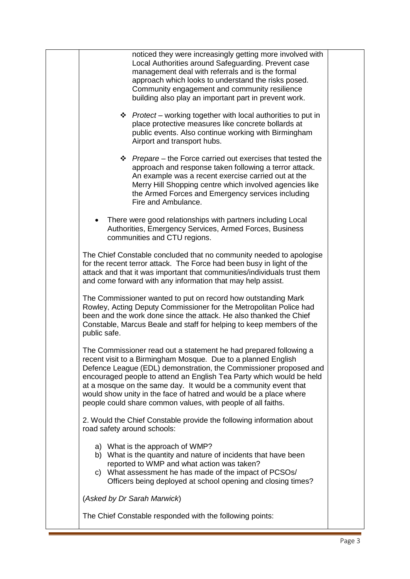| noticed they were increasingly getting more involved with<br>Local Authorities around Safeguarding. Prevent case<br>management deal with referrals and is the formal<br>approach which looks to understand the risks posed.<br>Community engagement and community resilience<br>building also play an important part in prevent work.                                                                                                                                                   |  |
|-----------------------------------------------------------------------------------------------------------------------------------------------------------------------------------------------------------------------------------------------------------------------------------------------------------------------------------------------------------------------------------------------------------------------------------------------------------------------------------------|--|
| ❖ Protect – working together with local authorities to put in<br>place protective measures like concrete bollards at<br>public events. Also continue working with Birmingham<br>Airport and transport hubs.                                                                                                                                                                                                                                                                             |  |
| $\div$ Prepare – the Force carried out exercises that tested the<br>approach and response taken following a terror attack.<br>An example was a recent exercise carried out at the<br>Merry Hill Shopping centre which involved agencies like<br>the Armed Forces and Emergency services including<br>Fire and Ambulance.                                                                                                                                                                |  |
| There were good relationships with partners including Local<br>Authorities, Emergency Services, Armed Forces, Business<br>communities and CTU regions.                                                                                                                                                                                                                                                                                                                                  |  |
| The Chief Constable concluded that no community needed to apologise<br>for the recent terror attack. The Force had been busy in light of the<br>attack and that it was important that communities/individuals trust them<br>and come forward with any information that may help assist.                                                                                                                                                                                                 |  |
| The Commissioner wanted to put on record how outstanding Mark<br>Rowley, Acting Deputy Commissioner for the Metropolitan Police had<br>been and the work done since the attack. He also thanked the Chief<br>Constable, Marcus Beale and staff for helping to keep members of the<br>public safe.                                                                                                                                                                                       |  |
| The Commissioner read out a statement he had prepared following a<br>recent visit to a Birmingham Mosque. Due to a planned English<br>Defence League (EDL) demonstration, the Commissioner proposed and<br>encouraged people to attend an English Tea Party which would be held<br>at a mosque on the same day. It would be a community event that<br>would show unity in the face of hatred and would be a place where<br>people could share common values, with people of all faiths. |  |
| 2. Would the Chief Constable provide the following information about<br>road safety around schools:                                                                                                                                                                                                                                                                                                                                                                                     |  |
| a) What is the approach of WMP?<br>b) What is the quantity and nature of incidents that have been<br>reported to WMP and what action was taken?<br>c) What assessment he has made of the impact of PCSOs/<br>Officers being deployed at school opening and closing times?                                                                                                                                                                                                               |  |
| (Asked by Dr Sarah Marwick)                                                                                                                                                                                                                                                                                                                                                                                                                                                             |  |
| The Chief Constable responded with the following points:                                                                                                                                                                                                                                                                                                                                                                                                                                |  |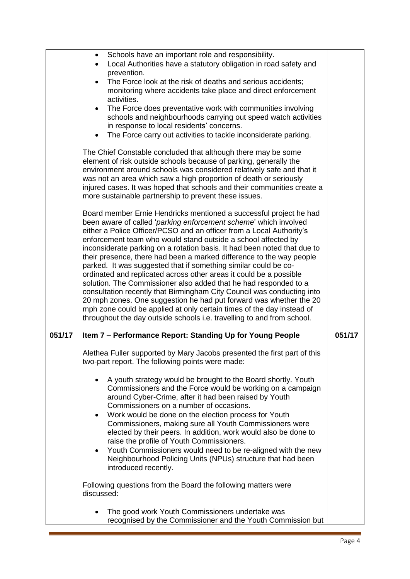|        | Schools have an important role and responsibility.<br>$\bullet$                                                                             |                     |
|--------|---------------------------------------------------------------------------------------------------------------------------------------------|---------------------|
|        | Local Authorities have a statutory obligation in road safety and                                                                            |                     |
|        | prevention.                                                                                                                                 |                     |
|        | The Force look at the risk of deaths and serious accidents;<br>$\bullet$                                                                    |                     |
|        | monitoring where accidents take place and direct enforcement<br>activities.                                                                 |                     |
|        | The Force does preventative work with communities involving<br>$\bullet$                                                                    |                     |
|        | schools and neighbourhoods carrying out speed watch activities                                                                              |                     |
|        | in response to local residents' concerns.                                                                                                   |                     |
|        | The Force carry out activities to tackle inconsiderate parking.<br>$\bullet$                                                                |                     |
|        | The Chief Constable concluded that although there may be some                                                                               |                     |
|        | element of risk outside schools because of parking, generally the                                                                           |                     |
|        | environment around schools was considered relatively safe and that it                                                                       |                     |
|        | was not an area which saw a high proportion of death or seriously                                                                           |                     |
|        | injured cases. It was hoped that schools and their communities create a                                                                     |                     |
|        | more sustainable partnership to prevent these issues.                                                                                       |                     |
|        | Board member Ernie Hendricks mentioned a successful project he had                                                                          |                     |
|        | been aware of called 'parking enforcement scheme' which involved                                                                            |                     |
|        | either a Police Officer/PCSO and an officer from a Local Authority's<br>enforcement team who would stand outside a school affected by       |                     |
|        | inconsiderate parking on a rotation basis. It had been noted that due to                                                                    |                     |
|        | their presence, there had been a marked difference to the way people                                                                        |                     |
|        | parked. It was suggested that if something similar could be co-                                                                             |                     |
|        | ordinated and replicated across other areas it could be a possible                                                                          |                     |
|        | solution. The Commissioner also added that he had responded to a                                                                            |                     |
|        | consultation recently that Birmingham City Council was conducting into                                                                      |                     |
|        | 20 mph zones. One suggestion he had put forward was whether the 20<br>mph zone could be applied at only certain times of the day instead of |                     |
|        | throughout the day outside schools i.e. travelling to and from school.                                                                      |                     |
| 051/17 | Item 7 - Performance Report: Standing Up for Young People                                                                                   | $\overline{051}/17$ |
|        |                                                                                                                                             |                     |
|        | Alethea Fuller supported by Mary Jacobs presented the first part of this                                                                    |                     |
|        | two-part report. The following points were made:                                                                                            |                     |
|        | A youth strategy would be brought to the Board shortly. Youth<br>$\bullet$                                                                  |                     |
|        | Commissioners and the Force would be working on a campaign                                                                                  |                     |
|        | around Cyber-Crime, after it had been raised by Youth                                                                                       |                     |
|        | Commissioners on a number of occasions.                                                                                                     |                     |
|        | Work would be done on the election process for Youth<br>$\bullet$<br>Commissioners, making sure all Youth Commissioners were                |                     |
|        | elected by their peers. In addition, work would also be done to                                                                             |                     |
|        | raise the profile of Youth Commissioners.                                                                                                   |                     |
|        | Youth Commissioners would need to be re-aligned with the new<br>$\bullet$                                                                   |                     |
|        | Neighbourhood Policing Units (NPUs) structure that had been                                                                                 |                     |
|        | introduced recently.                                                                                                                        |                     |
|        | Following questions from the Board the following matters were                                                                               |                     |
|        | discussed:                                                                                                                                  |                     |
|        |                                                                                                                                             |                     |
|        | The good work Youth Commissioners undertake was<br>$\bullet$                                                                                |                     |
|        | recognised by the Commissioner and the Youth Commission but                                                                                 |                     |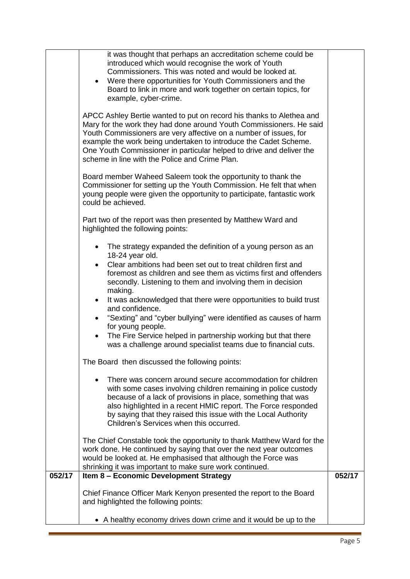| Commissioners. This was noted and would be looked at.<br>Were there opportunities for Youth Commissioners and the<br>Board to link in more and work together on certain topics, for<br>example, cyber-crime.<br>APCC Ashley Bertie wanted to put on record his thanks to Alethea and<br>Mary for the work they had done around Youth Commissioners. He said<br>Youth Commissioners are very affective on a number of issues, for<br>example the work being undertaken to introduce the Cadet Scheme.<br>One Youth Commissioner in particular helped to drive and deliver the<br>scheme in line with the Police and Crime Plan.<br>Board member Waheed Saleem took the opportunity to thank the<br>Commissioner for setting up the Youth Commission. He felt that when<br>young people were given the opportunity to participate, fantastic work<br>could be achieved.<br>Part two of the report was then presented by Matthew Ward and<br>highlighted the following points:<br>The strategy expanded the definition of a young person as an<br>$\bullet$<br>18-24 year old.<br>Clear ambitions had been set out to treat children first and<br>$\bullet$<br>foremost as children and see them as victims first and offenders<br>secondly. Listening to them and involving them in decision<br>making.<br>It was acknowledged that there were opportunities to build trust<br>and confidence.<br>"Sexting" and "cyber bullying" were identified as causes of harm<br>$\bullet$<br>for young people.<br>The Fire Service helped in partnership working but that there<br>$\bullet$<br>was a challenge around specialist teams due to financial cuts.<br>The Board then discussed the following points:<br>There was concern around secure accommodation for children<br>with some cases involving children remaining in police custody<br>because of a lack of provisions in place, something that was<br>also highlighted in a recent HMIC report. The Force responded<br>by saying that they raised this issue with the Local Authority<br>Children's Services when this occurred.<br>The Chief Constable took the opportunity to thank Matthew Ward for the<br>work done. He continued by saying that over the next year outcomes<br>would be looked at. He emphasised that although the Force was<br>shrinking it was important to make sure work continued.<br>$\overline{052/17}$<br>Item 8 - Economic Development Strategy<br>Chief Finance Officer Mark Kenyon presented the report to the Board<br>and highlighted the following points: | • A healthy economy drives down crime and it would be up to the |        |
|-------------------------------------------------------------------------------------------------------------------------------------------------------------------------------------------------------------------------------------------------------------------------------------------------------------------------------------------------------------------------------------------------------------------------------------------------------------------------------------------------------------------------------------------------------------------------------------------------------------------------------------------------------------------------------------------------------------------------------------------------------------------------------------------------------------------------------------------------------------------------------------------------------------------------------------------------------------------------------------------------------------------------------------------------------------------------------------------------------------------------------------------------------------------------------------------------------------------------------------------------------------------------------------------------------------------------------------------------------------------------------------------------------------------------------------------------------------------------------------------------------------------------------------------------------------------------------------------------------------------------------------------------------------------------------------------------------------------------------------------------------------------------------------------------------------------------------------------------------------------------------------------------------------------------------------------------------------------------------------------------------------------------------------------------------------------------------------------------------------------------------------------------------------------------------------------------------------------------------------------------------------------------------------------------------------------------------------------------------------------------------------------------------------------------------------------------------------------------------------------------------------------------------------------------|-----------------------------------------------------------------|--------|
|                                                                                                                                                                                                                                                                                                                                                                                                                                                                                                                                                                                                                                                                                                                                                                                                                                                                                                                                                                                                                                                                                                                                                                                                                                                                                                                                                                                                                                                                                                                                                                                                                                                                                                                                                                                                                                                                                                                                                                                                                                                                                                                                                                                                                                                                                                                                                                                                                                                                                                                                                 |                                                                 |        |
|                                                                                                                                                                                                                                                                                                                                                                                                                                                                                                                                                                                                                                                                                                                                                                                                                                                                                                                                                                                                                                                                                                                                                                                                                                                                                                                                                                                                                                                                                                                                                                                                                                                                                                                                                                                                                                                                                                                                                                                                                                                                                                                                                                                                                                                                                                                                                                                                                                                                                                                                                 |                                                                 | 052/17 |
|                                                                                                                                                                                                                                                                                                                                                                                                                                                                                                                                                                                                                                                                                                                                                                                                                                                                                                                                                                                                                                                                                                                                                                                                                                                                                                                                                                                                                                                                                                                                                                                                                                                                                                                                                                                                                                                                                                                                                                                                                                                                                                                                                                                                                                                                                                                                                                                                                                                                                                                                                 |                                                                 |        |
|                                                                                                                                                                                                                                                                                                                                                                                                                                                                                                                                                                                                                                                                                                                                                                                                                                                                                                                                                                                                                                                                                                                                                                                                                                                                                                                                                                                                                                                                                                                                                                                                                                                                                                                                                                                                                                                                                                                                                                                                                                                                                                                                                                                                                                                                                                                                                                                                                                                                                                                                                 |                                                                 |        |
|                                                                                                                                                                                                                                                                                                                                                                                                                                                                                                                                                                                                                                                                                                                                                                                                                                                                                                                                                                                                                                                                                                                                                                                                                                                                                                                                                                                                                                                                                                                                                                                                                                                                                                                                                                                                                                                                                                                                                                                                                                                                                                                                                                                                                                                                                                                                                                                                                                                                                                                                                 |                                                                 |        |
|                                                                                                                                                                                                                                                                                                                                                                                                                                                                                                                                                                                                                                                                                                                                                                                                                                                                                                                                                                                                                                                                                                                                                                                                                                                                                                                                                                                                                                                                                                                                                                                                                                                                                                                                                                                                                                                                                                                                                                                                                                                                                                                                                                                                                                                                                                                                                                                                                                                                                                                                                 |                                                                 |        |
|                                                                                                                                                                                                                                                                                                                                                                                                                                                                                                                                                                                                                                                                                                                                                                                                                                                                                                                                                                                                                                                                                                                                                                                                                                                                                                                                                                                                                                                                                                                                                                                                                                                                                                                                                                                                                                                                                                                                                                                                                                                                                                                                                                                                                                                                                                                                                                                                                                                                                                                                                 |                                                                 |        |
|                                                                                                                                                                                                                                                                                                                                                                                                                                                                                                                                                                                                                                                                                                                                                                                                                                                                                                                                                                                                                                                                                                                                                                                                                                                                                                                                                                                                                                                                                                                                                                                                                                                                                                                                                                                                                                                                                                                                                                                                                                                                                                                                                                                                                                                                                                                                                                                                                                                                                                                                                 |                                                                 |        |
|                                                                                                                                                                                                                                                                                                                                                                                                                                                                                                                                                                                                                                                                                                                                                                                                                                                                                                                                                                                                                                                                                                                                                                                                                                                                                                                                                                                                                                                                                                                                                                                                                                                                                                                                                                                                                                                                                                                                                                                                                                                                                                                                                                                                                                                                                                                                                                                                                                                                                                                                                 |                                                                 |        |
|                                                                                                                                                                                                                                                                                                                                                                                                                                                                                                                                                                                                                                                                                                                                                                                                                                                                                                                                                                                                                                                                                                                                                                                                                                                                                                                                                                                                                                                                                                                                                                                                                                                                                                                                                                                                                                                                                                                                                                                                                                                                                                                                                                                                                                                                                                                                                                                                                                                                                                                                                 |                                                                 |        |
|                                                                                                                                                                                                                                                                                                                                                                                                                                                                                                                                                                                                                                                                                                                                                                                                                                                                                                                                                                                                                                                                                                                                                                                                                                                                                                                                                                                                                                                                                                                                                                                                                                                                                                                                                                                                                                                                                                                                                                                                                                                                                                                                                                                                                                                                                                                                                                                                                                                                                                                                                 |                                                                 |        |
|                                                                                                                                                                                                                                                                                                                                                                                                                                                                                                                                                                                                                                                                                                                                                                                                                                                                                                                                                                                                                                                                                                                                                                                                                                                                                                                                                                                                                                                                                                                                                                                                                                                                                                                                                                                                                                                                                                                                                                                                                                                                                                                                                                                                                                                                                                                                                                                                                                                                                                                                                 |                                                                 |        |
|                                                                                                                                                                                                                                                                                                                                                                                                                                                                                                                                                                                                                                                                                                                                                                                                                                                                                                                                                                                                                                                                                                                                                                                                                                                                                                                                                                                                                                                                                                                                                                                                                                                                                                                                                                                                                                                                                                                                                                                                                                                                                                                                                                                                                                                                                                                                                                                                                                                                                                                                                 |                                                                 |        |
|                                                                                                                                                                                                                                                                                                                                                                                                                                                                                                                                                                                                                                                                                                                                                                                                                                                                                                                                                                                                                                                                                                                                                                                                                                                                                                                                                                                                                                                                                                                                                                                                                                                                                                                                                                                                                                                                                                                                                                                                                                                                                                                                                                                                                                                                                                                                                                                                                                                                                                                                                 |                                                                 |        |
|                                                                                                                                                                                                                                                                                                                                                                                                                                                                                                                                                                                                                                                                                                                                                                                                                                                                                                                                                                                                                                                                                                                                                                                                                                                                                                                                                                                                                                                                                                                                                                                                                                                                                                                                                                                                                                                                                                                                                                                                                                                                                                                                                                                                                                                                                                                                                                                                                                                                                                                                                 |                                                                 |        |
|                                                                                                                                                                                                                                                                                                                                                                                                                                                                                                                                                                                                                                                                                                                                                                                                                                                                                                                                                                                                                                                                                                                                                                                                                                                                                                                                                                                                                                                                                                                                                                                                                                                                                                                                                                                                                                                                                                                                                                                                                                                                                                                                                                                                                                                                                                                                                                                                                                                                                                                                                 |                                                                 |        |
|                                                                                                                                                                                                                                                                                                                                                                                                                                                                                                                                                                                                                                                                                                                                                                                                                                                                                                                                                                                                                                                                                                                                                                                                                                                                                                                                                                                                                                                                                                                                                                                                                                                                                                                                                                                                                                                                                                                                                                                                                                                                                                                                                                                                                                                                                                                                                                                                                                                                                                                                                 |                                                                 |        |
|                                                                                                                                                                                                                                                                                                                                                                                                                                                                                                                                                                                                                                                                                                                                                                                                                                                                                                                                                                                                                                                                                                                                                                                                                                                                                                                                                                                                                                                                                                                                                                                                                                                                                                                                                                                                                                                                                                                                                                                                                                                                                                                                                                                                                                                                                                                                                                                                                                                                                                                                                 |                                                                 |        |
|                                                                                                                                                                                                                                                                                                                                                                                                                                                                                                                                                                                                                                                                                                                                                                                                                                                                                                                                                                                                                                                                                                                                                                                                                                                                                                                                                                                                                                                                                                                                                                                                                                                                                                                                                                                                                                                                                                                                                                                                                                                                                                                                                                                                                                                                                                                                                                                                                                                                                                                                                 |                                                                 |        |
|                                                                                                                                                                                                                                                                                                                                                                                                                                                                                                                                                                                                                                                                                                                                                                                                                                                                                                                                                                                                                                                                                                                                                                                                                                                                                                                                                                                                                                                                                                                                                                                                                                                                                                                                                                                                                                                                                                                                                                                                                                                                                                                                                                                                                                                                                                                                                                                                                                                                                                                                                 |                                                                 |        |
|                                                                                                                                                                                                                                                                                                                                                                                                                                                                                                                                                                                                                                                                                                                                                                                                                                                                                                                                                                                                                                                                                                                                                                                                                                                                                                                                                                                                                                                                                                                                                                                                                                                                                                                                                                                                                                                                                                                                                                                                                                                                                                                                                                                                                                                                                                                                                                                                                                                                                                                                                 |                                                                 |        |
|                                                                                                                                                                                                                                                                                                                                                                                                                                                                                                                                                                                                                                                                                                                                                                                                                                                                                                                                                                                                                                                                                                                                                                                                                                                                                                                                                                                                                                                                                                                                                                                                                                                                                                                                                                                                                                                                                                                                                                                                                                                                                                                                                                                                                                                                                                                                                                                                                                                                                                                                                 |                                                                 |        |
|                                                                                                                                                                                                                                                                                                                                                                                                                                                                                                                                                                                                                                                                                                                                                                                                                                                                                                                                                                                                                                                                                                                                                                                                                                                                                                                                                                                                                                                                                                                                                                                                                                                                                                                                                                                                                                                                                                                                                                                                                                                                                                                                                                                                                                                                                                                                                                                                                                                                                                                                                 |                                                                 |        |
|                                                                                                                                                                                                                                                                                                                                                                                                                                                                                                                                                                                                                                                                                                                                                                                                                                                                                                                                                                                                                                                                                                                                                                                                                                                                                                                                                                                                                                                                                                                                                                                                                                                                                                                                                                                                                                                                                                                                                                                                                                                                                                                                                                                                                                                                                                                                                                                                                                                                                                                                                 |                                                                 |        |
|                                                                                                                                                                                                                                                                                                                                                                                                                                                                                                                                                                                                                                                                                                                                                                                                                                                                                                                                                                                                                                                                                                                                                                                                                                                                                                                                                                                                                                                                                                                                                                                                                                                                                                                                                                                                                                                                                                                                                                                                                                                                                                                                                                                                                                                                                                                                                                                                                                                                                                                                                 |                                                                 |        |
|                                                                                                                                                                                                                                                                                                                                                                                                                                                                                                                                                                                                                                                                                                                                                                                                                                                                                                                                                                                                                                                                                                                                                                                                                                                                                                                                                                                                                                                                                                                                                                                                                                                                                                                                                                                                                                                                                                                                                                                                                                                                                                                                                                                                                                                                                                                                                                                                                                                                                                                                                 |                                                                 |        |
| it was thought that perhaps an accreditation scheme could be<br>introduced which would recognise the work of Youth                                                                                                                                                                                                                                                                                                                                                                                                                                                                                                                                                                                                                                                                                                                                                                                                                                                                                                                                                                                                                                                                                                                                                                                                                                                                                                                                                                                                                                                                                                                                                                                                                                                                                                                                                                                                                                                                                                                                                                                                                                                                                                                                                                                                                                                                                                                                                                                                                              |                                                                 |        |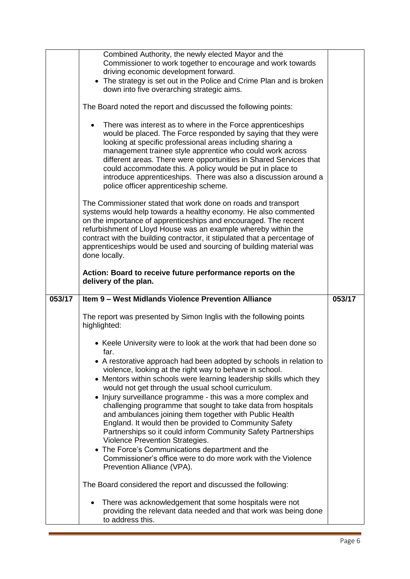|        | Combined Authority, the newly elected Mayor and the<br>Commissioner to work together to encourage and work towards<br>driving economic development forward.<br>• The strategy is set out in the Police and Crime Plan and is broken<br>down into five overarching strategic aims.<br>The Board noted the report and discussed the following points:<br>There was interest as to where in the Force apprenticeships<br>$\bullet$<br>would be placed. The Force responded by saying that they were<br>looking at specific professional areas including sharing a<br>management trainee style apprentice who could work across<br>different areas. There were opportunities in Shared Services that<br>could accommodate this. A policy would be put in place to<br>introduce apprenticeships. There was also a discussion around a<br>police officer apprenticeship scheme.<br>The Commissioner stated that work done on roads and transport<br>systems would help towards a healthy economy. He also commented<br>on the importance of apprenticeships and encouraged. The recent<br>refurbishment of Lloyd House was an example whereby within the<br>contract with the building contractor, it stipulated that a percentage of<br>apprenticeships would be used and sourcing of building material was<br>done locally.<br>Action: Board to receive future performance reports on the<br>delivery of the plan. |        |
|--------|----------------------------------------------------------------------------------------------------------------------------------------------------------------------------------------------------------------------------------------------------------------------------------------------------------------------------------------------------------------------------------------------------------------------------------------------------------------------------------------------------------------------------------------------------------------------------------------------------------------------------------------------------------------------------------------------------------------------------------------------------------------------------------------------------------------------------------------------------------------------------------------------------------------------------------------------------------------------------------------------------------------------------------------------------------------------------------------------------------------------------------------------------------------------------------------------------------------------------------------------------------------------------------------------------------------------------------------------------------------------------------------------------------------|--------|
| 053/17 | Item 9 - West Midlands Violence Prevention Alliance                                                                                                                                                                                                                                                                                                                                                                                                                                                                                                                                                                                                                                                                                                                                                                                                                                                                                                                                                                                                                                                                                                                                                                                                                                                                                                                                                            | 053/17 |
|        | The report was presented by Simon Inglis with the following points<br>highlighted:                                                                                                                                                                                                                                                                                                                                                                                                                                                                                                                                                                                                                                                                                                                                                                                                                                                                                                                                                                                                                                                                                                                                                                                                                                                                                                                             |        |
|        | • Keele University were to look at the work that had been done so<br>far.                                                                                                                                                                                                                                                                                                                                                                                                                                                                                                                                                                                                                                                                                                                                                                                                                                                                                                                                                                                                                                                                                                                                                                                                                                                                                                                                      |        |
|        | • A restorative approach had been adopted by schools in relation to<br>violence, looking at the right way to behave in school.<br>• Mentors within schools were learning leadership skills which they<br>would not get through the usual school curriculum.<br>• Injury surveillance programme - this was a more complex and<br>challenging programme that sought to take data from hospitals<br>and ambulances joining them together with Public Health<br>England. It would then be provided to Community Safety<br>Partnerships so it could inform Community Safety Partnerships<br>Violence Prevention Strategies.<br>• The Force's Communications department and the<br>Commissioner's office were to do more work with the Violence<br>Prevention Alliance (VPA).                                                                                                                                                                                                                                                                                                                                                                                                                                                                                                                                                                                                                                        |        |
|        | The Board considered the report and discussed the following:                                                                                                                                                                                                                                                                                                                                                                                                                                                                                                                                                                                                                                                                                                                                                                                                                                                                                                                                                                                                                                                                                                                                                                                                                                                                                                                                                   |        |
|        | There was acknowledgement that some hospitals were not<br>providing the relevant data needed and that work was being done<br>to address this.                                                                                                                                                                                                                                                                                                                                                                                                                                                                                                                                                                                                                                                                                                                                                                                                                                                                                                                                                                                                                                                                                                                                                                                                                                                                  |        |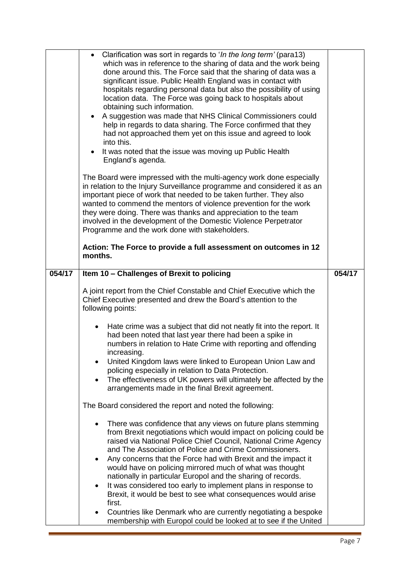|        | • Clarification was sort in regards to 'In the long term' (para13)<br>which was in reference to the sharing of data and the work being<br>done around this. The Force said that the sharing of data was a<br>significant issue. Public Health England was in contact with<br>hospitals regarding personal data but also the possibility of using<br>location data. The Force was going back to hospitals about<br>obtaining such information.<br>• A suggestion was made that NHS Clinical Commissioners could<br>help in regards to data sharing. The Force confirmed that they<br>had not approached them yet on this issue and agreed to look<br>into this.<br>It was noted that the issue was moving up Public Health<br>England's agenda.<br>The Board were impressed with the multi-agency work done especially<br>in relation to the Injury Surveillance programme and considered it as an<br>important piece of work that needed to be taken further. They also<br>wanted to commend the mentors of violence prevention for the work<br>they were doing. There was thanks and appreciation to the team<br>involved in the development of the Domestic Violence Perpetrator<br>Programme and the work done with stakeholders.<br>Action: The Force to provide a full assessment on outcomes in 12<br>months. |        |
|--------|---------------------------------------------------------------------------------------------------------------------------------------------------------------------------------------------------------------------------------------------------------------------------------------------------------------------------------------------------------------------------------------------------------------------------------------------------------------------------------------------------------------------------------------------------------------------------------------------------------------------------------------------------------------------------------------------------------------------------------------------------------------------------------------------------------------------------------------------------------------------------------------------------------------------------------------------------------------------------------------------------------------------------------------------------------------------------------------------------------------------------------------------------------------------------------------------------------------------------------------------------------------------------------------------------------------------|--------|
| 054/17 | Item 10 - Challenges of Brexit to policing                                                                                                                                                                                                                                                                                                                                                                                                                                                                                                                                                                                                                                                                                                                                                                                                                                                                                                                                                                                                                                                                                                                                                                                                                                                                          | 054/17 |
|        | A joint report from the Chief Constable and Chief Executive which the<br>Chief Executive presented and drew the Board's attention to the<br>following points:                                                                                                                                                                                                                                                                                                                                                                                                                                                                                                                                                                                                                                                                                                                                                                                                                                                                                                                                                                                                                                                                                                                                                       |        |
|        | Hate crime was a subject that did not neatly fit into the report. It<br>٠<br>had been noted that last year there had been a spike in<br>numbers in relation to Hate Crime with reporting and offending<br>increasing.<br>United Kingdom laws were linked to European Union Law and<br>policing especially in relation to Data Protection.<br>The effectiveness of UK powers will ultimately be affected by the<br>٠<br>arrangements made in the final Brexit agreement.                                                                                                                                                                                                                                                                                                                                                                                                                                                                                                                                                                                                                                                                                                                                                                                                                                             |        |
|        | The Board considered the report and noted the following:                                                                                                                                                                                                                                                                                                                                                                                                                                                                                                                                                                                                                                                                                                                                                                                                                                                                                                                                                                                                                                                                                                                                                                                                                                                            |        |
|        | There was confidence that any views on future plans stemming<br>$\bullet$<br>from Brexit negotiations which would impact on policing could be<br>raised via National Police Chief Council, National Crime Agency<br>and The Association of Police and Crime Commissioners.                                                                                                                                                                                                                                                                                                                                                                                                                                                                                                                                                                                                                                                                                                                                                                                                                                                                                                                                                                                                                                          |        |
|        | Any concerns that the Force had with Brexit and the impact it<br>$\bullet$<br>would have on policing mirrored much of what was thought<br>nationally in particular Europol and the sharing of records.<br>It was considered too early to implement plans in response to<br>$\bullet$                                                                                                                                                                                                                                                                                                                                                                                                                                                                                                                                                                                                                                                                                                                                                                                                                                                                                                                                                                                                                                |        |
|        | Brexit, it would be best to see what consequences would arise<br>first.                                                                                                                                                                                                                                                                                                                                                                                                                                                                                                                                                                                                                                                                                                                                                                                                                                                                                                                                                                                                                                                                                                                                                                                                                                             |        |
|        | Countries like Denmark who are currently negotiating a bespoke<br>membership with Europol could be looked at to see if the United                                                                                                                                                                                                                                                                                                                                                                                                                                                                                                                                                                                                                                                                                                                                                                                                                                                                                                                                                                                                                                                                                                                                                                                   |        |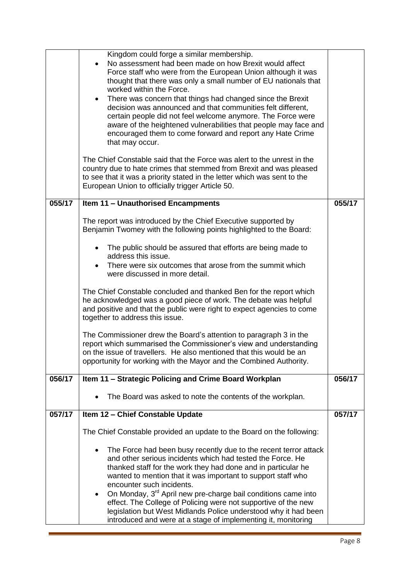|        | Kingdom could forge a similar membership.<br>No assessment had been made on how Brexit would affect<br>Force staff who were from the European Union although it was<br>thought that there was only a small number of EU nationals that<br>worked within the Force.<br>There was concern that things had changed since the Brexit<br>$\bullet$<br>decision was announced and that communities felt different,<br>certain people did not feel welcome anymore. The Force were<br>aware of the heightened vulnerabilities that people may face and<br>encouraged them to come forward and report any Hate Crime<br>that may occur.<br>The Chief Constable said that the Force was alert to the unrest in the<br>country due to hate crimes that stemmed from Brexit and was pleased<br>to see that it was a priority stated in the letter which was sent to the<br>European Union to officially trigger Article 50. |        |
|--------|------------------------------------------------------------------------------------------------------------------------------------------------------------------------------------------------------------------------------------------------------------------------------------------------------------------------------------------------------------------------------------------------------------------------------------------------------------------------------------------------------------------------------------------------------------------------------------------------------------------------------------------------------------------------------------------------------------------------------------------------------------------------------------------------------------------------------------------------------------------------------------------------------------------|--------|
| 055/17 | Item 11 - Unauthorised Encampments                                                                                                                                                                                                                                                                                                                                                                                                                                                                                                                                                                                                                                                                                                                                                                                                                                                                               | 055/17 |
|        | The report was introduced by the Chief Executive supported by<br>Benjamin Twomey with the following points highlighted to the Board:                                                                                                                                                                                                                                                                                                                                                                                                                                                                                                                                                                                                                                                                                                                                                                             |        |
|        | The public should be assured that efforts are being made to<br>address this issue.<br>There were six outcomes that arose from the summit which<br>were discussed in more detail.                                                                                                                                                                                                                                                                                                                                                                                                                                                                                                                                                                                                                                                                                                                                 |        |
|        | The Chief Constable concluded and thanked Ben for the report which<br>he acknowledged was a good piece of work. The debate was helpful<br>and positive and that the public were right to expect agencies to come<br>together to address this issue.                                                                                                                                                                                                                                                                                                                                                                                                                                                                                                                                                                                                                                                              |        |
|        | The Commissioner drew the Board's attention to paragraph 3 in the<br>report which summarised the Commissioner's view and understanding<br>on the issue of travellers. He also mentioned that this would be an<br>opportunity for working with the Mayor and the Combined Authority.                                                                                                                                                                                                                                                                                                                                                                                                                                                                                                                                                                                                                              |        |
| 056/17 | Item 11 - Strategic Policing and Crime Board Workplan                                                                                                                                                                                                                                                                                                                                                                                                                                                                                                                                                                                                                                                                                                                                                                                                                                                            | 056/17 |
|        | The Board was asked to note the contents of the workplan.                                                                                                                                                                                                                                                                                                                                                                                                                                                                                                                                                                                                                                                                                                                                                                                                                                                        |        |
| 057/17 | Item 12 - Chief Constable Update                                                                                                                                                                                                                                                                                                                                                                                                                                                                                                                                                                                                                                                                                                                                                                                                                                                                                 | 057/17 |
|        | The Chief Constable provided an update to the Board on the following:                                                                                                                                                                                                                                                                                                                                                                                                                                                                                                                                                                                                                                                                                                                                                                                                                                            |        |
|        | The Force had been busy recently due to the recent terror attack<br>$\bullet$<br>and other serious incidents which had tested the Force. He<br>thanked staff for the work they had done and in particular he<br>wanted to mention that it was important to support staff who<br>encounter such incidents.<br>On Monday, 3rd April new pre-charge bail conditions came into<br>$\bullet$<br>effect. The College of Policing were not supportive of the new<br>legislation but West Midlands Police understood why it had been<br>introduced and were at a stage of implementing it, monitoring                                                                                                                                                                                                                                                                                                                    |        |